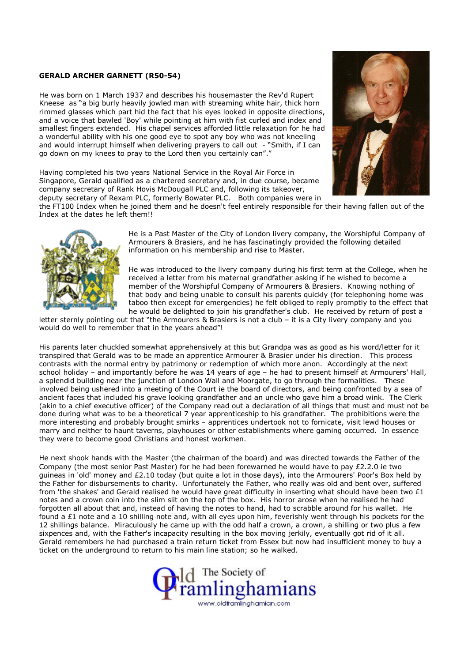## GERALD ARCHER GARNETT (R50-54)

He was born on 1 March 1937 and describes his housemaster the Rev'd Rupert Kneese as "a big burly heavily jowled man with streaming white hair, thick horn rimmed glasses which part hid the fact that his eyes looked in opposite directions, and a voice that bawled 'Boy' while pointing at him with fist curled and index and smallest fingers extended. His chapel services afforded little relaxation for he had a wonderful ability with his one good eye to spot any boy who was not kneeling and would interrupt himself when delivering prayers to call out - "Smith, if I can go down on my knees to pray to the Lord then you certainly can"."

Having completed his two years National Service in the Royal Air Force in Singapore, Gerald qualified as a chartered secretary and, in due course, became company secretary of Rank Hovis McDougall PLC and, following its takeover, deputy secretary of Rexam PLC, formerly Bowater PLC. Both companies were in



the FT100 Index when he joined them and he doesn't feel entirely responsible for their having fallen out of the Index at the dates he left them!!



He is a Past Master of the City of London livery company, the Worshipful Company of Armourers & Brasiers, and he has fascinatingly provided the following detailed information on his membership and rise to Master.

He was introduced to the livery company during his first term at the College, when he received a letter from his maternal grandfather asking if he wished to become a member of the Worshipful Company of Armourers & Brasiers. Knowing nothing of that body and being unable to consult his parents quickly (for telephoning home was taboo then except for emergencies) he felt obliged to reply promptly to the effect that he would be delighted to join his grandfather's club. He received by return of post a

letter sternly pointing out that "the Armourers & Brasiers is not a club – it is a City livery company and you would do well to remember that in the years ahead"!

His parents later chuckled somewhat apprehensively at this but Grandpa was as good as his word/letter for it transpired that Gerald was to be made an apprentice Armourer & Brasier under his direction. This process contrasts with the normal entry by patrimony or redemption of which more anon. Accordingly at the next school holiday – and importantly before he was 14 years of age – he had to present himself at Armourers' Hall, a splendid building near the junction of London Wall and Moorgate, to go through the formalities. These involved being ushered into a meeting of the Court ie the board of directors, and being confronted by a sea of ancient faces that included his grave looking grandfather and an uncle who gave him a broad wink. The Clerk (akin to a chief executive officer) of the Company read out a declaration of all things that must and must not be done during what was to be a theoretical 7 year apprenticeship to his grandfather. The prohibitions were the more interesting and probably brought smirks – apprentices undertook not to fornicate, visit lewd houses or marry and neither to haunt taverns, playhouses or other establishments where gaming occurred. In essence they were to become good Christians and honest workmen.

He next shook hands with the Master (the chairman of the board) and was directed towards the Father of the Company (the most senior Past Master) for he had been forewarned he would have to pay £2.2.0 ie two guineas in 'old' money and £2.10 today (but quite a lot in those days), into the Armourers' Poor's Box held by the Father for disbursements to charity. Unfortunately the Father, who really was old and bent over, suffered from 'the shakes' and Gerald realised he would have great difficulty in inserting what should have been two  $\mathcal{E}1$ notes and a crown coin into the slim slit on the top of the box. His horror arose when he realised he had forgotten all about that and, instead of having the notes to hand, had to scrabble around for his wallet. He found a £1 note and a 10 shilling note and, with all eyes upon him, feverishly went through his pockets for the 12 shillings balance. Miraculously he came up with the odd half a crown, a crown, a shilling or two plus a few sixpences and, with the Father's incapacity resulting in the box moving jerkily, eventually got rid of it all. Gerald remembers he had purchased a train return ticket from Essex but now had insufficient money to buy a ticket on the underground to return to his main line station; so he walked.

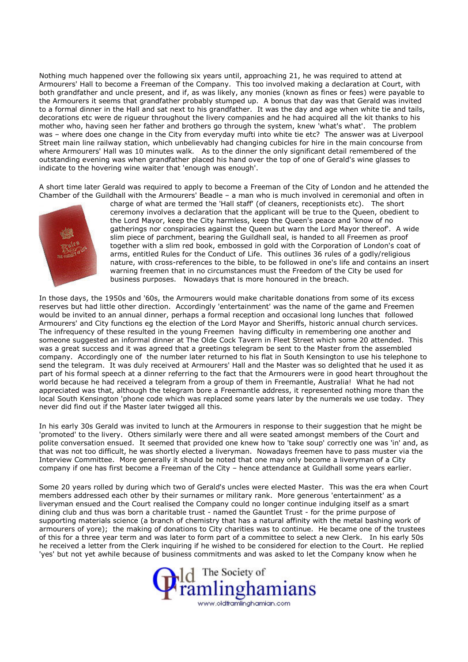Nothing much happened over the following six years until, approaching 21, he was required to attend at Armourers' Hall to become a Freeman of the Company. This too involved making a declaration at Court, with both grandfather and uncle present, and if, as was likely, any monies (known as fines or fees) were payable to the Armourers it seems that grandfather probably stumped up. A bonus that day was that Gerald was invited to a formal dinner in the Hall and sat next to his grandfather. It was the day and age when white tie and tails, decorations etc were de rigueur throughout the livery companies and he had acquired all the kit thanks to his mother who, having seen her father and brothers go through the system, knew 'what's what'. The problem was – where does one change in the City from everyday mufti into white tie etc? The answer was at Liverpool Street main line railway station, which unbelievably had changing cubicles for hire in the main concourse from where Armourers' Hall was 10 minutes walk. As to the dinner the only significant detail remembered of the outstanding evening was when grandfather placed his hand over the top of one of Gerald's wine glasses to indicate to the hovering wine waiter that 'enough was enough'.

A short time later Gerald was required to apply to become a Freeman of the City of London and he attended the Chamber of the Guildhall with the Armourers' Beadle – a man who is much involved in ceremonial and often in



charge of what are termed the 'Hall staff' (of cleaners, receptionists etc). The short ceremony involves a declaration that the applicant will be true to the Queen, obedient to the Lord Mayor, keep the City harmless, keep the Queen's peace and 'know of no gatherings nor conspiracies against the Queen but warn the Lord Mayor thereof'. A wide slim piece of parchment, bearing the Guildhall seal, is handed to all Freemen as proof together with a slim red book, embossed in gold with the Corporation of London's coat of arms, entitled Rules for the Conduct of Life. This outlines 36 rules of a godly/religious nature, with cross-references to the bible, to be followed in one's life and contains an insert warning freemen that in no circumstances must the Freedom of the City be used for business purposes. Nowadays that is more honoured in the breach.

In those days, the 1950s and '60s, the Armourers would make charitable donations from some of its excess reserves but had little other direction. Accordingly 'entertainment' was the name of the game and Freemen would be invited to an annual dinner, perhaps a formal reception and occasional long lunches that followed Armourers' and City functions eg the election of the Lord Mayor and Sheriffs, historic annual church services. The infrequency of these resulted in the young Freemen having difficulty in remembering one another and someone suggested an informal dinner at The Olde Cock Tavern in Fleet Street which some 20 attended. This was a great success and it was agreed that a greetings telegram be sent to the Master from the assembled company. Accordingly one of the number later returned to his flat in South Kensington to use his telephone to send the telegram. It was duly received at Armourers' Hall and the Master was so delighted that he used it as part of his formal speech at a dinner referring to the fact that the Armourers were in good heart throughout the world because he had received a telegram from a group of them in Freemantle, Australia! What he had not appreciated was that, although the telegram bore a Freemantle address, it represented nothing more than the local South Kensington 'phone code which was replaced some years later by the numerals we use today. They never did find out if the Master later twigged all this.

In his early 30s Gerald was invited to lunch at the Armourers in response to their suggestion that he might be 'promoted' to the livery. Others similarly were there and all were seated amongst members of the Court and polite conversation ensued. It seemed that provided one knew how to 'take soup' correctly one was 'in' and, as that was not too difficult, he was shortly elected a liveryman. Nowadays freemen have to pass muster via the Interview Committee. More generally it should be noted that one may only become a liveryman of a City company if one has first become a Freeman of the City - hence attendance at Guildhall some years earlier.

Some 20 years rolled by during which two of Gerald's uncles were elected Master. This was the era when Court members addressed each other by their surnames or military rank. More generous 'entertainment' as a liveryman ensued and the Court realised the Company could no longer continue indulging itself as a smart dining club and thus was born a charitable trust - named the Gauntlet Trust - for the prime purpose of supporting materials science (a branch of chemistry that has a natural affinity with the metal bashing work of armourers of yore); the making of donations to City charities was to continue. He became one of the trustees of this for a three year term and was later to form part of a committee to select a new Clerk. In his early 50s he received a letter from the Clerk inquiring if he wished to be considered for election to the Court. He replied 'yes' but not yet awhile because of business commitments and was asked to let the Company know when he

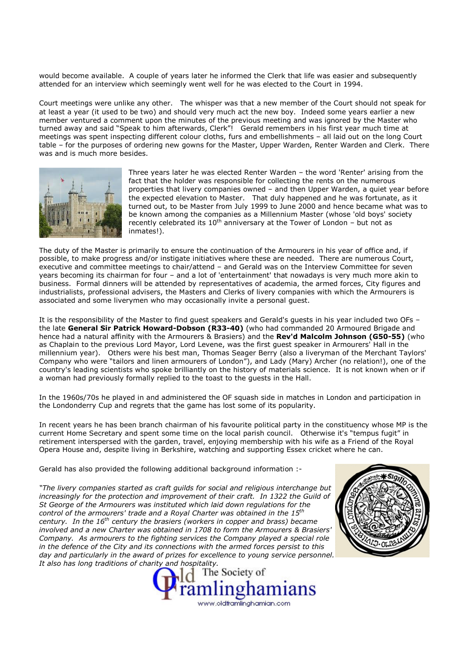would become available. A couple of years later he informed the Clerk that life was easier and subsequently attended for an interview which seemingly went well for he was elected to the Court in 1994.

Court meetings were unlike any other. The whisper was that a new member of the Court should not speak for at least a year (it used to be two) and should very much act the new boy. Indeed some years earlier a new member ventured a comment upon the minutes of the previous meeting and was ignored by the Master who turned away and said "Speak to him afterwards, Clerk"! Gerald remembers in his first year much time at meetings was spent inspecting different colour cloths, furs and embellishments – all laid out on the long Court table – for the purposes of ordering new gowns for the Master, Upper Warden, Renter Warden and Clerk. There was and is much more besides.



Three years later he was elected Renter Warden – the word 'Renter' arising from the fact that the holder was responsible for collecting the rents on the numerous properties that livery companies owned – and then Upper Warden, a quiet year before the expected elevation to Master. That duly happened and he was fortunate, as it turned out, to be Master from July 1999 to June 2000 and hence became what was to be known among the companies as a Millennium Master (whose 'old boys' society recently celebrated its  $10^{th}$  anniversary at the Tower of London – but not as inmates!).

The duty of the Master is primarily to ensure the continuation of the Armourers in his year of office and, if possible, to make progress and/or instigate initiatives where these are needed. There are numerous Court, executive and committee meetings to chair/attend – and Gerald was on the Interview Committee for seven years becoming its chairman for four – and a lot of 'entertainment' that nowadays is very much more akin to business. Formal dinners will be attended by representatives of academia, the armed forces, City figures and industrialists, professional advisers, the Masters and Clerks of livery companies with which the Armourers is associated and some liverymen who may occasionally invite a personal guest.

It is the responsibility of the Master to find guest speakers and Gerald's guests in his year included two OFs – the late General Sir Patrick Howard-Dobson (R33-40) (who had commanded 20 Armoured Brigade and hence had a natural affinity with the Armourers & Brasiers) and the Rev'd Malcolm Johnson (G50-55) (who as Chaplain to the previous Lord Mayor, Lord Levene, was the first guest speaker in Armourers' Hall in the millennium year). Others were his best man, Thomas Seager Berry (also a liveryman of the Merchant Taylors' Company who were "tailors and linen armourers of London"), and Lady (Mary) Archer (no relation!), one of the country's leading scientists who spoke brilliantly on the history of materials science. It is not known when or if a woman had previously formally replied to the toast to the guests in the Hall.

In the 1960s/70s he played in and administered the OF squash side in matches in London and participation in the Londonderry Cup and regrets that the game has lost some of its popularity.

In recent years he has been branch chairman of his favourite political party in the constituency whose MP is the current Home Secretary and spent some time on the local parish council. Otherwise it's "tempus fugit" in retirement interspersed with the garden, travel, enjoying membership with his wife as a Friend of the Royal Opera House and, despite living in Berkshire, watching and supporting Essex cricket where he can.

Gerald has also provided the following additional background information :-

"The livery companies started as craft guilds for social and religious interchange but increasingly for the protection and improvement of their craft. In 1322 the Guild of St George of the Armourers was instituted which laid down regulations for the control of the armourers' trade and a Royal Charter was obtained in the  $15<sup>th</sup>$ century. In the  $16<sup>th</sup>$  century the brasiers (workers in copper and brass) became involved and a new Charter was obtained in 1708 to form the Armourers & Brasiers' Company. As armourers to the fighting services the Company played a special role in the defence of the City and its connections with the armed forces persist to this day and particularly in the award of prizes for excellence to young service personnel. It also has long traditions of charity and hospitality.



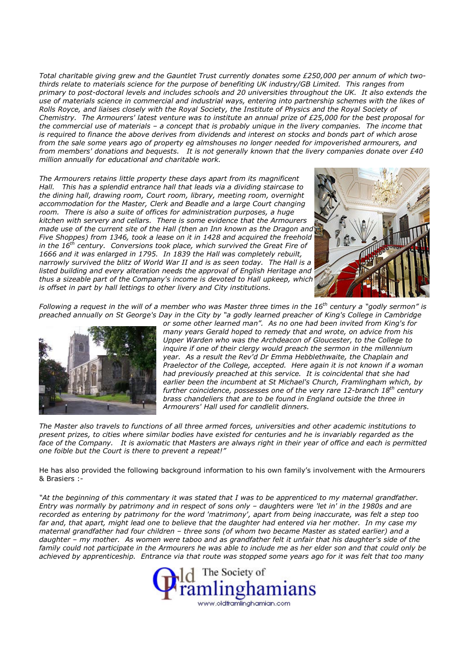Total charitable giving grew and the Gauntlet Trust currently donates some £250,000 per annum of which twothirds relate to materials science for the purpose of benefiting UK industry/GB Limited. This ranges from primary to post-doctoral levels and includes schools and 20 universities throughout the UK. It also extends the use of materials science in commercial and industrial ways, entering into partnership schemes with the likes of Rolls Royce, and liaises closely with the Royal Society, the Institute of Physics and the Royal Society of Chemistry. The Armourers' latest venture was to institute an annual prize of £25,000 for the best proposal for the commercial use of materials – a concept that is probably unique in the livery companies. The income that is required to finance the above derives from dividends and interest on stocks and bonds part of which arose from the sale some years ago of property eg almshouses no longer needed for impoverished armourers, and from members' donations and bequests. It is not generally known that the livery companies donate over £40 million annually for educational and charitable work.

The Armourers retains little property these days apart from its magnificent Hall. This has a splendid entrance hall that leads via a dividing staircase to the dining hall, drawing room, Court room, library, meeting room, overnight accommodation for the Master, Clerk and Beadle and a large Court changing room. There is also a suite of offices for administration purposes, a huge kitchen with servery and cellars. There is some evidence that the Armourers made use of the current site of the Hall (then an Inn known as the Dragon and Five Shoppes) from 1346, took a lease on it in 1428 and acquired the freehold in the  $16<sup>th</sup>$  century. Conversions took place, which survived the Great Fire of 1666 and it was enlarged in 1795. In 1839 the Hall was completely rebuilt, narrowly survived the blitz of World War II and is as seen today. The Hall is a listed building and every alteration needs the approval of English Heritage and thus a sizeable part of the Company's income is devoted to Hall upkeep, which is offset in part by hall lettings to other livery and City institutions.



Following a request in the will of a member who was Master three times in the 16<sup>th</sup> century a "godly sermon" is preached annually on St George's Day in the City by "a godly learned preacher of King's College in Cambridge



or some other learned man". As no one had been invited from King's for many years Gerald hoped to remedy that and wrote, on advice from his Upper Warden who was the Archdeacon of Gloucester, to the College to inquire if one of their clergy would preach the sermon in the millennium year. As a result the Rev'd Dr Emma Hebblethwaite, the Chaplain and Praelector of the College, accepted. Here again it is not known if a woman had previously preached at this service. It is coincidental that she had earlier been the incumbent at St Michael's Church, Framlingham which, by further coincidence, possesses one of the very rare 12-branch  $18<sup>th</sup>$  century brass chandeliers that are to be found in England outside the three in Armourers' Hall used for candlelit dinners.

The Master also travels to functions of all three armed forces, universities and other academic institutions to present prizes, to cities where similar bodies have existed for centuries and he is invariably regarded as the face of the Company. It is axiomatic that Masters are always right in their year of office and each is permitted one foible but the Court is there to prevent a repeat!"

He has also provided the following background information to his own family's involvement with the Armourers & Brasiers :-

"At the beginning of this commentary it was stated that I was to be apprenticed to my maternal grandfather. Entry was normally by patrimony and in respect of sons only – daughters were 'let in' in the 1980s and are recorded as entering by patrimony for the word 'matrimony', apart from being inaccurate, was felt a step too far and, that apart, might lead one to believe that the daughter had entered via her mother. In my case my maternal grandfather had four children – three sons (of whom two became Master as stated earlier) and a daughter – my mother. As women were taboo and as grandfather felt it unfair that his daughter's side of the family could not participate in the Armourers he was able to include me as her elder son and that could only be achieved by apprenticeship. Entrance via that route was stopped some years ago for it was felt that too many